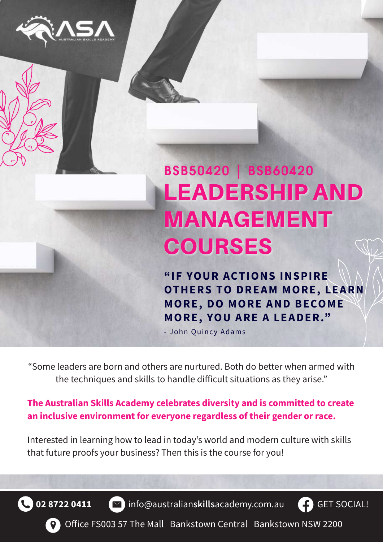

# LEADERSHIP AND MANAGEMENT COURSES BSB50420 | BSB60420

**"IF YOUR AC TIONS INSPIRE OTHERS TO DREAM MORE, LEARN MORE , DO MORE A ND B ECOME MORE, YOU ARE A LEADER."** 

- John Quincy Adams

"Some leaders are born and others are nurtured. Both do better when armed with the techniques and skills to handle difficult situations as they arise."

**The Australian Skills Academy celebrates diversity and is committed to create an inclusive environment for everyone regardless of their gender or race.**

Interested in learning how to lead in today's world and modern culture with skills that future proofs your business? Then this is the course for you!



**02 8722 0411 i**nfo@australian**skills**academy.com.au



Office FS003 57 The Mall Bankstown Central Bankstown NSW 2200